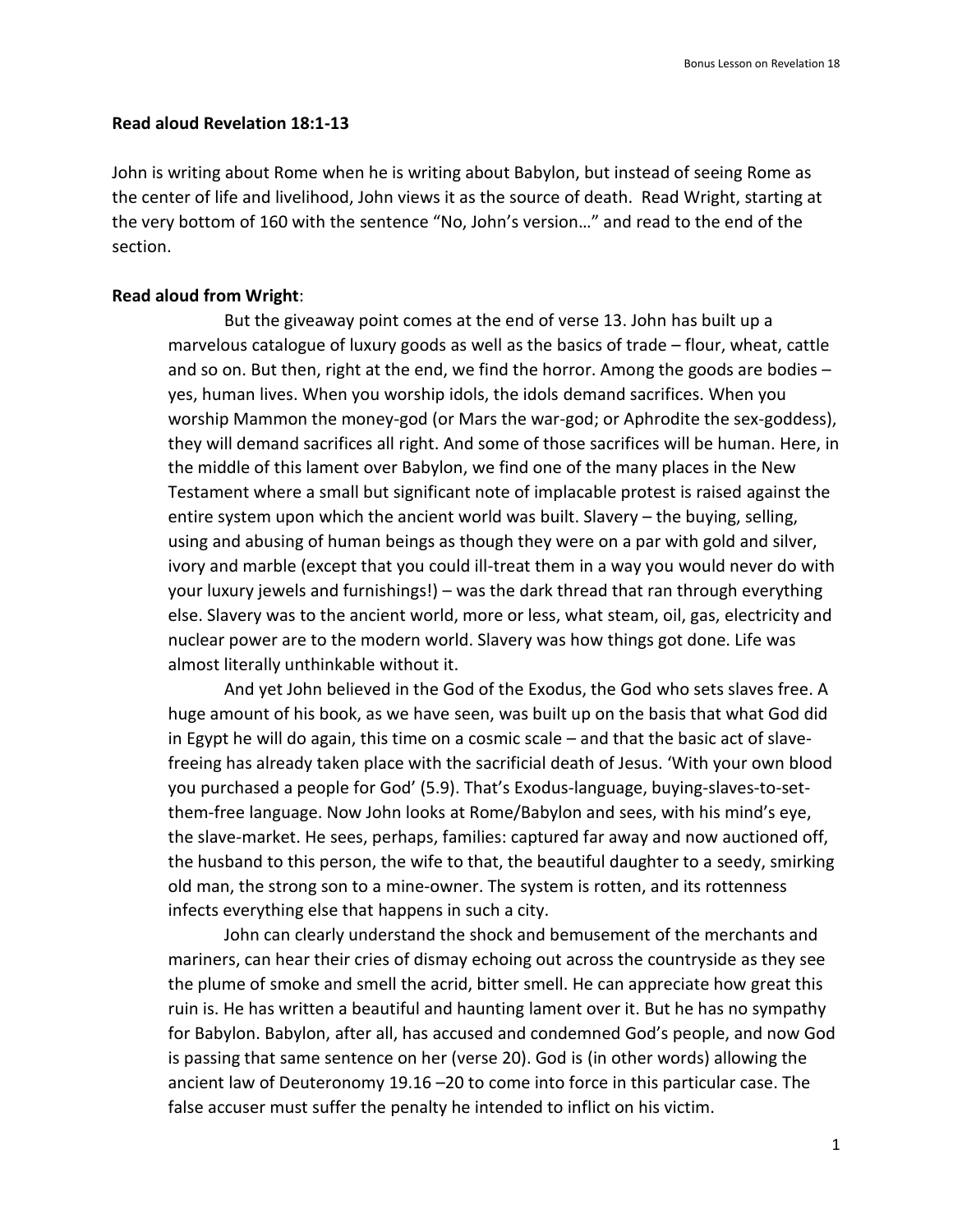## **Read aloud Revelation 18:1-13**

John is writing about Rome when he is writing about Babylon, but instead of seeing Rome as the center of life and livelihood, John views it as the source of death. Read Wright, starting at the very bottom of 160 with the sentence "No, John's version…" and read to the end of the section.

## **Read aloud from Wright**:

But the giveaway point comes at the end of verse 13. John has built up a marvelous catalogue of luxury goods as well as the basics of trade – flour, wheat, cattle and so on. But then, right at the end, we find the horror. Among the goods are bodies – yes, human lives. When you worship idols, the idols demand sacrifices. When you worship Mammon the money-god (or Mars the war-god; or Aphrodite the sex-goddess), they will demand sacrifices all right. And some of those sacrifices will be human. Here, in the middle of this lament over Babylon, we find one of the many places in the New Testament where a small but significant note of implacable protest is raised against the entire system upon which the ancient world was built. Slavery – the buying, selling, using and abusing of human beings as though they were on a par with gold and silver, ivory and marble (except that you could ill-treat them in a way you would never do with your luxury jewels and furnishings!) – was the dark thread that ran through everything else. Slavery was to the ancient world, more or less, what steam, oil, gas, electricity and nuclear power are to the modern world. Slavery was how things got done. Life was almost literally unthinkable without it.

And yet John believed in the God of the Exodus, the God who sets slaves free. A huge amount of his book, as we have seen, was built up on the basis that what God did in Egypt he will do again, this time on a cosmic scale – and that the basic act of slavefreeing has already taken place with the sacrificial death of Jesus. 'With your own blood you purchased a people for God' (5.9). That's Exodus-language, buying-slaves-to-setthem-free language. Now John looks at Rome/Babylon and sees, with his mind's eye, the slave-market. He sees, perhaps, families: captured far away and now auctioned off, the husband to this person, the wife to that, the beautiful daughter to a seedy, smirking old man, the strong son to a mine-owner. The system is rotten, and its rottenness infects everything else that happens in such a city.

John can clearly understand the shock and bemusement of the merchants and mariners, can hear their cries of dismay echoing out across the countryside as they see the plume of smoke and smell the acrid, bitter smell. He can appreciate how great this ruin is. He has written a beautiful and haunting lament over it. But he has no sympathy for Babylon. Babylon, after all, has accused and condemned God's people, and now God is passing that same sentence on her (verse 20). God is (in other words) allowing the ancient law of Deuteronomy 19.16 –20 to come into force in this particular case. The false accuser must suffer the penalty he intended to inflict on his victim.